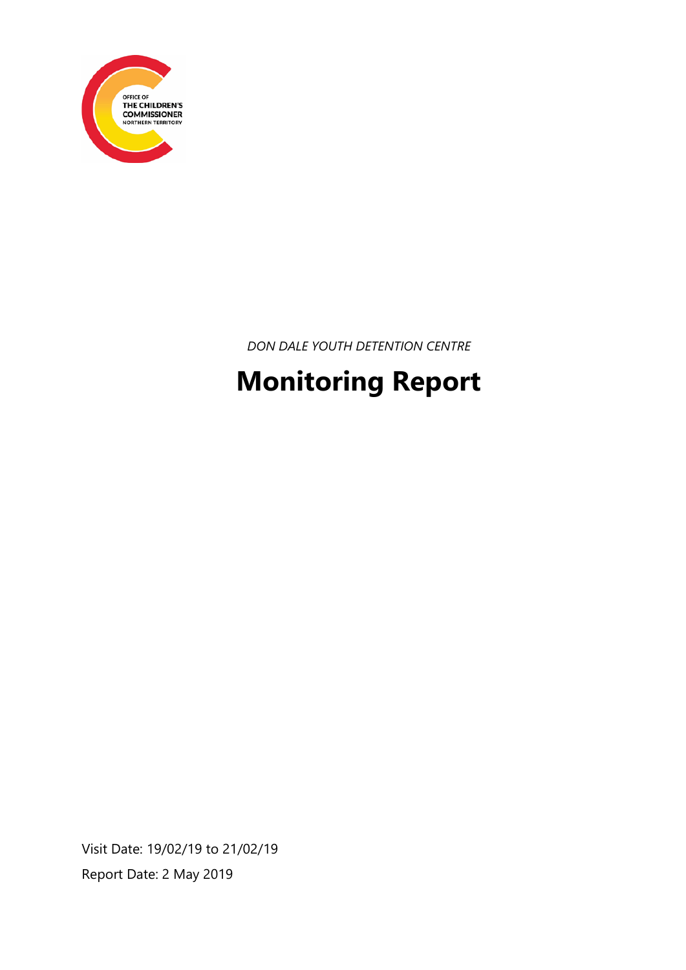

*DON DALE YOUTH DETENTION CENTRE*

# **Monitoring Report**

Visit Date: 19/02/19 to 21/02/19 Report Date: 2 May 2019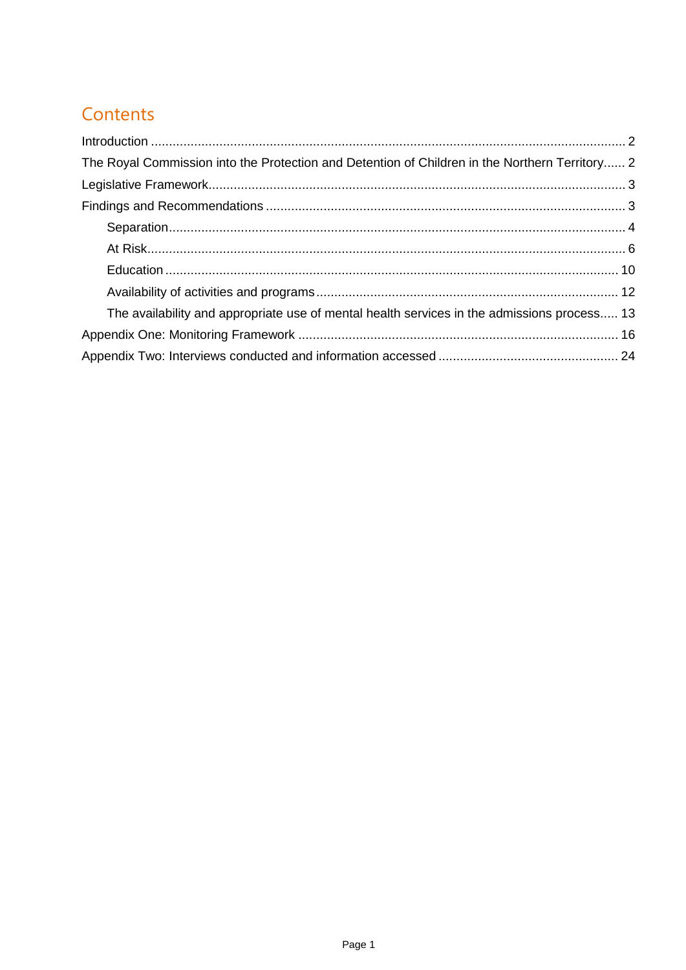# Contents

| The Royal Commission into the Protection and Detention of Children in the Northern Territory 2 |  |
|------------------------------------------------------------------------------------------------|--|
|                                                                                                |  |
|                                                                                                |  |
|                                                                                                |  |
|                                                                                                |  |
|                                                                                                |  |
|                                                                                                |  |
| The availability and appropriate use of mental health services in the admissions process 13    |  |
|                                                                                                |  |
|                                                                                                |  |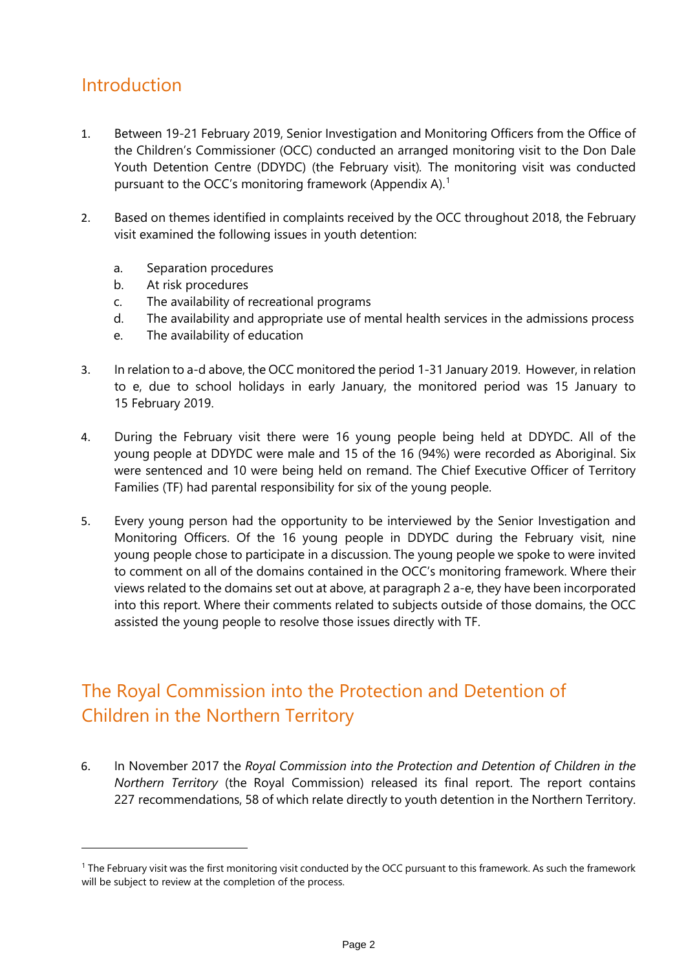### <span id="page-2-0"></span>Introduction

-

- 1. Between 19-21 February 2019, Senior Investigation and Monitoring Officers from the Office of the Children's Commissioner (OCC) conducted an arranged monitoring visit to the Don Dale Youth Detention Centre (DDYDC) (the February visit)*.* The monitoring visit was conducted pursuant to the OCC's monitoring framework (Appendix A).<sup>[1](#page-2-2)</sup>
- 2. Based on themes identified in complaints received by the OCC throughout 2018, the February visit examined the following issues in youth detention:
	- a. Separation procedures
	- b. At risk procedures
	- c. The availability of recreational programs
	- d. The availability and appropriate use of mental health services in the admissions process
	- e. The availability of education
- 3. In relation to a-d above, the OCC monitored the period 1-31 January 2019. However, in relation to e, due to school holidays in early January, the monitored period was 15 January to 15 February 2019.
- 4. During the February visit there were 16 young people being held at DDYDC. All of the young people at DDYDC were male and 15 of the 16 (94%) were recorded as Aboriginal. Six were sentenced and 10 were being held on remand. The Chief Executive Officer of Territory Families (TF) had parental responsibility for six of the young people.
- 5. Every young person had the opportunity to be interviewed by the Senior Investigation and Monitoring Officers. Of the 16 young people in DDYDC during the February visit, nine young people chose to participate in a discussion. The young people we spoke to were invited to comment on all of the domains contained in the OCC's monitoring framework. Where their views related to the domains set out at above, at paragraph 2 a-e, they have been incorporated into this report. Where their comments related to subjects outside of those domains, the OCC assisted the young people to resolve those issues directly with TF.

# <span id="page-2-1"></span>The Royal Commission into the Protection and Detention of Children in the Northern Territory

6. In November 2017 the *Royal Commission into the Protection and Detention of Children in the Northern Territory* (the Royal Commission) released its final report. The report contains 227 recommendations, 58 of which relate directly to youth detention in the Northern Territory.

<span id="page-2-2"></span><sup>&</sup>lt;sup>1</sup> The February visit was the first monitoring visit conducted by the OCC pursuant to this framework. As such the framework will be subject to review at the completion of the process.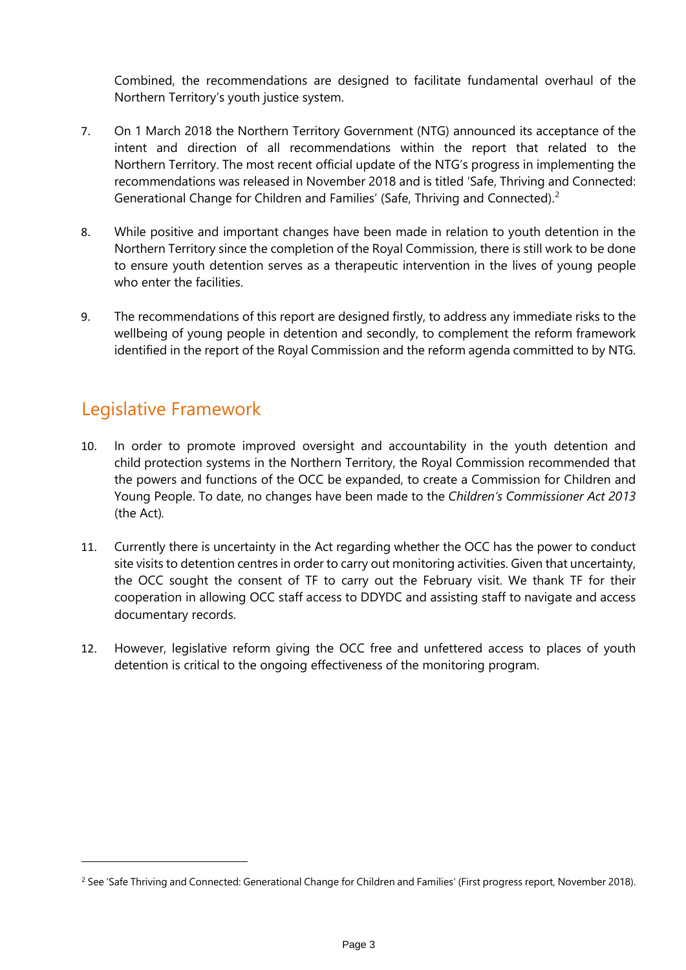Combined, the recommendations are designed to facilitate fundamental overhaul of the Northern Territory's youth justice system.

- 7. On 1 March 2018 the Northern Territory Government (NTG) announced its acceptance of the intent and direction of all recommendations within the report that related to the Northern Territory. The most recent official update of the NTG's progress in implementing the recommendations was released in November 2018 and is titled 'Safe, Thriving and Connected: Generational Change for Children and Families' (Safe, Thriving and Connected).<sup>[2](#page-3-2)</sup>
- 8. While positive and important changes have been made in relation to youth detention in the Northern Territory since the completion of the Royal Commission, there is still work to be done to ensure youth detention serves as a therapeutic intervention in the lives of young people who enter the facilities.
- 9. The recommendations of this report are designed firstly, to address any immediate risks to the wellbeing of young people in detention and secondly, to complement the reform framework identified in the report of the Royal Commission and the reform agenda committed to by NTG.

### <span id="page-3-0"></span>Legislative Framework

- 10. In order to promote improved oversight and accountability in the youth detention and child protection systems in the Northern Territory, the Royal Commission recommended that the powers and functions of the OCC be expanded, to create a Commission for Children and Young People. To date, no changes have been made to the *Children's Commissioner Act 2013* (the Act)*.*
- 11. Currently there is uncertainty in the Act regarding whether the OCC has the power to conduct site visits to detention centres in order to carry out monitoring activities. Given that uncertainty, the OCC sought the consent of TF to carry out the February visit. We thank TF for their cooperation in allowing OCC staff access to DDYDC and assisting staff to navigate and access documentary records.
- <span id="page-3-1"></span>12. However, legislative reform giving the OCC free and unfettered access to places of youth detention is critical to the ongoing effectiveness of the monitoring program.

<span id="page-3-2"></span><sup>&</sup>lt;sup>2</sup> See 'Safe Thriving and Connected: Generational Change for Children and Families' (First progress report, November 2018).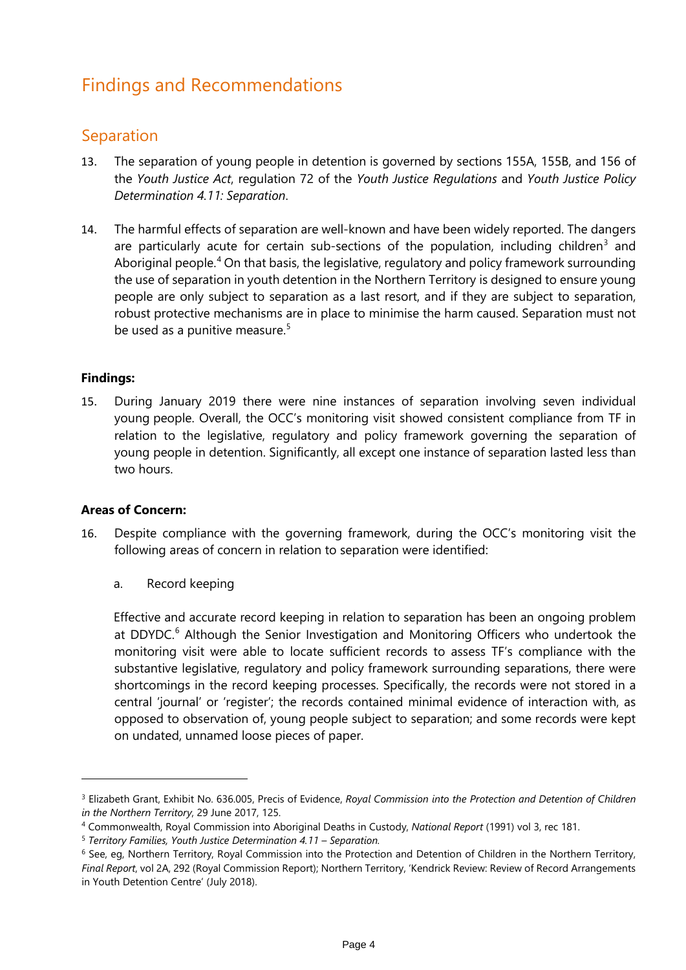### Findings and Recommendations

#### <span id="page-4-0"></span>Separation

- 13. The separation of young people in detention is governed by sections 155A, 155B, and 156 of the *Youth Justice Act*, regulation 72 of the *Youth Justice Regulations* and *Youth Justice Policy Determination 4.11: Separation*.
- 14. The harmful effects of separation are well-known and have been widely reported. The dangers are particularly acute for certain sub-sections of the population, including children<sup>[3](#page-4-1)</sup> and Aboriginal people.<sup>[4](#page-4-2)</sup> On that basis, the legislative, regulatory and policy framework surrounding the use of separation in youth detention in the Northern Territory is designed to ensure young people are only subject to separation as a last resort, and if they are subject to separation, robust protective mechanisms are in place to minimise the harm caused. Separation must not be used as a punitive measure.<sup>[5](#page-4-3)</sup>

#### **Findings:**

15. During January 2019 there were nine instances of separation involving seven individual young people. Overall, the OCC's monitoring visit showed consistent compliance from TF in relation to the legislative, regulatory and policy framework governing the separation of young people in detention. Significantly, all except one instance of separation lasted less than two hours.

#### **Areas of Concern:**

-

- 16. Despite compliance with the governing framework, during the OCC's monitoring visit the following areas of concern in relation to separation were identified:
	- a. Record keeping

Effective and accurate record keeping in relation to separation has been an ongoing problem at DDYDC.<sup>[6](#page-4-4)</sup> Although the Senior Investigation and Monitoring Officers who undertook the monitoring visit were able to locate sufficient records to assess TF's compliance with the substantive legislative, regulatory and policy framework surrounding separations, there were shortcomings in the record keeping processes. Specifically, the records were not stored in a central 'journal' or 'register'; the records contained minimal evidence of interaction with, as opposed to observation of, young people subject to separation; and some records were kept on undated, unnamed loose pieces of paper.

<span id="page-4-1"></span><sup>3</sup> Elizabeth Grant, Exhibit No. 636.005, Precis of Evidence, *Royal Commission into the Protection and Detention of Children in the Northern Territory*, 29 June 2017, 125.

<span id="page-4-2"></span><sup>4</sup> Commonwealth, Royal Commission into Aboriginal Deaths in Custody, *National Report* (1991) vol 3, rec 181. 5 *Territory Families, Youth Justice Determination 4.11 – Separation.*

<span id="page-4-3"></span>

<span id="page-4-4"></span><sup>&</sup>lt;sup>6</sup> See, eg, Northern Territory, Royal Commission into the Protection and Detention of Children in the Northern Territory, *Final Report*, vol 2A, 292 (Royal Commission Report); Northern Territory, 'Kendrick Review: Review of Record Arrangements in Youth Detention Centre' (July 2018).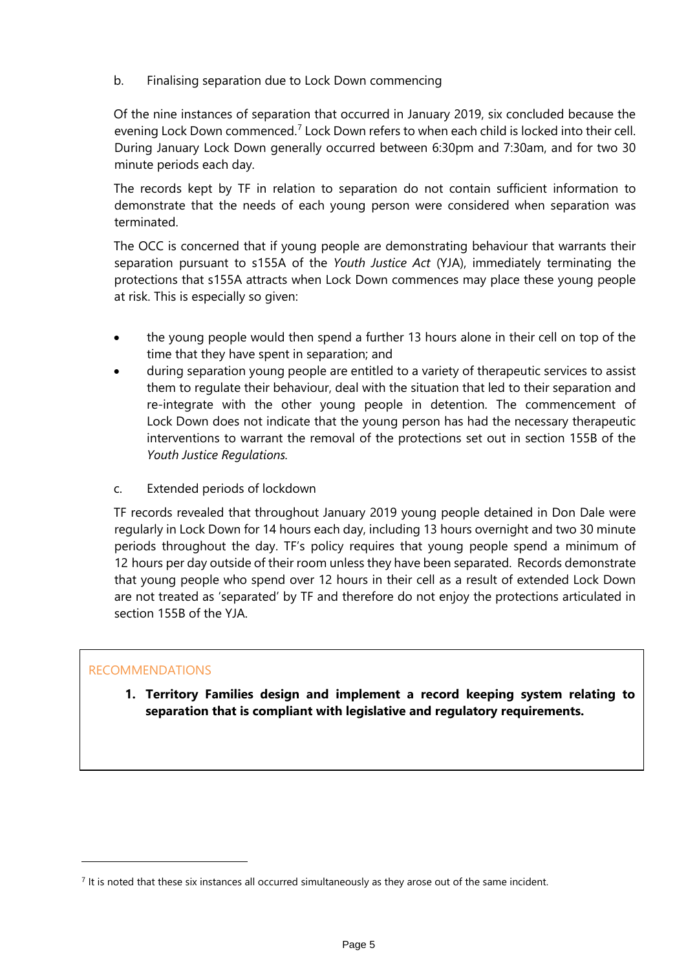b. Finalising separation due to Lock Down commencing

Of the nine instances of separation that occurred in January 2019, six concluded because the evening Lock Down commenced.<sup>[7](#page-5-0)</sup> Lock Down refers to when each child is locked into their cell. During January Lock Down generally occurred between 6:30pm and 7:30am, and for two 30 minute periods each day.

The records kept by TF in relation to separation do not contain sufficient information to demonstrate that the needs of each young person were considered when separation was terminated.

The OCC is concerned that if young people are demonstrating behaviour that warrants their separation pursuant to s155A of the *Youth Justice Act* (YJA), immediately terminating the protections that s155A attracts when Lock Down commences may place these young people at risk. This is especially so given:

- the young people would then spend a further 13 hours alone in their cell on top of the time that they have spent in separation; and
- during separation young people are entitled to a variety of therapeutic services to assist them to regulate their behaviour, deal with the situation that led to their separation and re-integrate with the other young people in detention. The commencement of Lock Down does not indicate that the young person has had the necessary therapeutic interventions to warrant the removal of the protections set out in section 155B of the *Youth Justice Regulations.*
- c. Extended periods of lockdown

TF records revealed that throughout January 2019 young people detained in Don Dale were regularly in Lock Down for 14 hours each day, including 13 hours overnight and two 30 minute periods throughout the day. TF's policy requires that young people spend a minimum of 12 hours per day outside of their room unless they have been separated. Records demonstrate that young people who spend over 12 hours in their cell as a result of extended Lock Down are not treated as 'separated' by TF and therefore do not enjoy the protections articulated in section 155B of the YJA.

#### RECOMMENDATIONS

-

**1. Territory Families design and implement a record keeping system relating to separation that is compliant with legislative and regulatory requirements.**

<span id="page-5-0"></span> $<sup>7</sup>$  It is noted that these six instances all occurred simultaneously as they arose out of the same incident.</sup>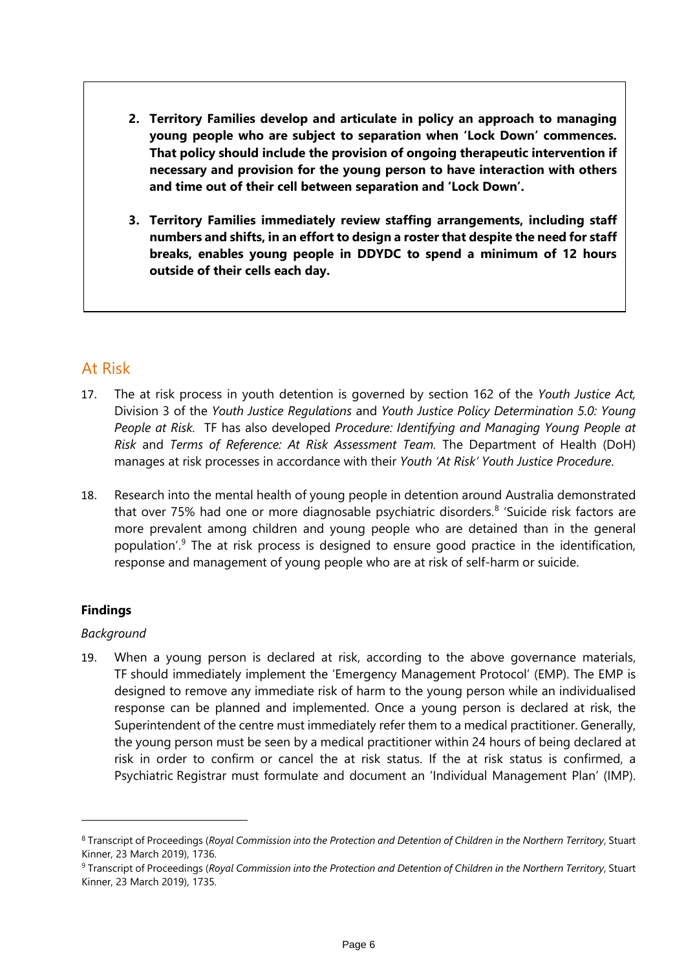- **2. Territory Families develop and articulate in policy an approach to managing young people who are subject to separation when 'Lock Down' commences. That policy should include the provision of ongoing therapeutic intervention if necessary and provision for the young person to have interaction with others and time out of their cell between separation and 'Lock Down'.**
- **3. Territory Families immediately review staffing arrangements, including staff numbers and shifts, in an effort to design a roster that despite the need for staff breaks, enables young people in DDYDC to spend a minimum of 12 hours outside of their cells each day.**

#### <span id="page-6-0"></span>At Risk

- 17. The at risk process in youth detention is governed by section 162 of the *Youth Justice Act,*  Division 3 of the *Youth Justice Regulations* and *Youth Justice Policy Determination 5.0: Young People at Risk.* TF has also developed *Procedure: Identifying and Managing Young People at Risk* and *Terms of Reference: At Risk Assessment Team.* The Department of Health (DoH) manages at risk processes in accordance with their *Youth 'At Risk' Youth Justice Procedure*.
- 18. Research into the mental health of young people in detention around Australia demonstrated that over 75% had one or more diagnosable psychiatric disorders.<sup>[8](#page-6-1)</sup> 'Suicide risk factors are more prevalent among children and young people who are detained than in the general population'. [9](#page-6-2) The at risk process is designed to ensure good practice in the identification, response and management of young people who are at risk of self-harm or suicide.

#### **Findings**

-

#### *Background*

19. When a young person is declared at risk, according to the above governance materials, TF should immediately implement the 'Emergency Management Protocol' (EMP). The EMP is designed to remove any immediate risk of harm to the young person while an individualised response can be planned and implemented. Once a young person is declared at risk, the Superintendent of the centre must immediately refer them to a medical practitioner. Generally, the young person must be seen by a medical practitioner within 24 hours of being declared at risk in order to confirm or cancel the at risk status. If the at risk status is confirmed, a Psychiatric Registrar must formulate and document an 'Individual Management Plan' (IMP).

<span id="page-6-1"></span><sup>8</sup> Transcript of Proceedings (*Royal Commission into the Protection and Detention of Children in the Northern Territory*, Stuart Kinner, 23 March 2019), 1736.

<span id="page-6-2"></span><sup>9</sup> Transcript of Proceedings (*Royal Commission into the Protection and Detention of Children in the Northern Territory*, Stuart Kinner, 23 March 2019), 1735.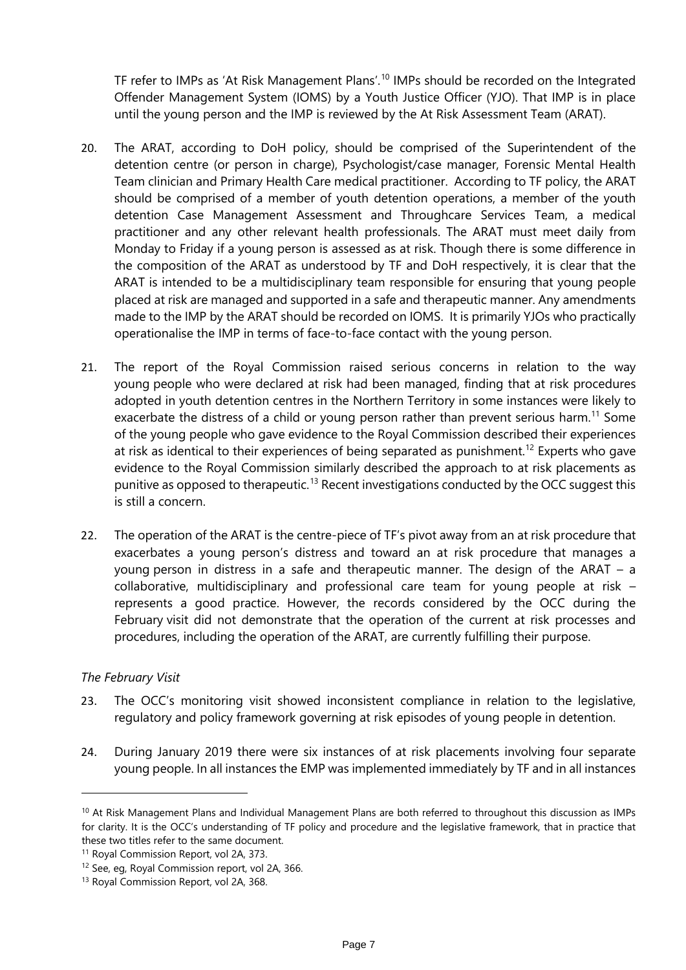TF refer to IMPs as 'At Risk Management Plans'.<sup>[10](#page-7-0)</sup> IMPs should be recorded on the Integrated Offender Management System (IOMS) by a Youth Justice Officer (YJO). That IMP is in place until the young person and the IMP is reviewed by the At Risk Assessment Team (ARAT).

- 20. The ARAT, according to DoH policy, should be comprised of the Superintendent of the detention centre (or person in charge), Psychologist/case manager, Forensic Mental Health Team clinician and Primary Health Care medical practitioner. According to TF policy, the ARAT should be comprised of a member of youth detention operations, a member of the youth detention Case Management Assessment and Throughcare Services Team, a medical practitioner and any other relevant health professionals. The ARAT must meet daily from Monday to Friday if a young person is assessed as at risk. Though there is some difference in the composition of the ARAT as understood by TF and DoH respectively, it is clear that the ARAT is intended to be a multidisciplinary team responsible for ensuring that young people placed at risk are managed and supported in a safe and therapeutic manner. Any amendments made to the IMP by the ARAT should be recorded on IOMS. It is primarily YJOs who practically operationalise the IMP in terms of face-to-face contact with the young person.
- 21. The report of the Royal Commission raised serious concerns in relation to the way young people who were declared at risk had been managed, finding that at risk procedures adopted in youth detention centres in the Northern Territory in some instances were likely to exacerbate the distress of a child or young person rather than prevent serious harm.<sup>[11](#page-7-1)</sup> Some of the young people who gave evidence to the Royal Commission described their experiences at risk as identical to their experiences of being separated as punishment.<sup>[12](#page-7-2)</sup> Experts who gave evidence to the Royal Commission similarly described the approach to at risk placements as punitive as opposed to therapeutic.<sup>[13](#page-7-3)</sup> Recent investigations conducted by the OCC suggest this is still a concern.
- 22. The operation of the ARAT is the centre-piece of TF's pivot away from an at risk procedure that exacerbates a young person's distress and toward an at risk procedure that manages a young person in distress in a safe and therapeutic manner. The design of the ARAT – a collaborative, multidisciplinary and professional care team for young people at risk – represents a good practice. However, the records considered by the OCC during the February visit did not demonstrate that the operation of the current at risk processes and procedures, including the operation of the ARAT, are currently fulfilling their purpose.

#### *The February Visit*

- 23. The OCC's monitoring visit showed inconsistent compliance in relation to the legislative, regulatory and policy framework governing at risk episodes of young people in detention.
- 24. During January 2019 there were six instances of at risk placements involving four separate young people. In all instances the EMP was implemented immediately by TF and in all instances

<span id="page-7-0"></span><sup>&</sup>lt;sup>10</sup> At Risk Management Plans and Individual Management Plans are both referred to throughout this discussion as IMPs for clarity. It is the OCC's understanding of TF policy and procedure and the legislative framework, that in practice that these two titles refer to the same document.

<span id="page-7-1"></span><sup>11</sup> Royal Commission Report, vol 2A, 373.

<span id="page-7-2"></span><sup>12</sup> See, eg, Royal Commission report, vol 2A, 366.

<span id="page-7-3"></span><sup>13</sup> Royal Commission Report, vol 2A, 368.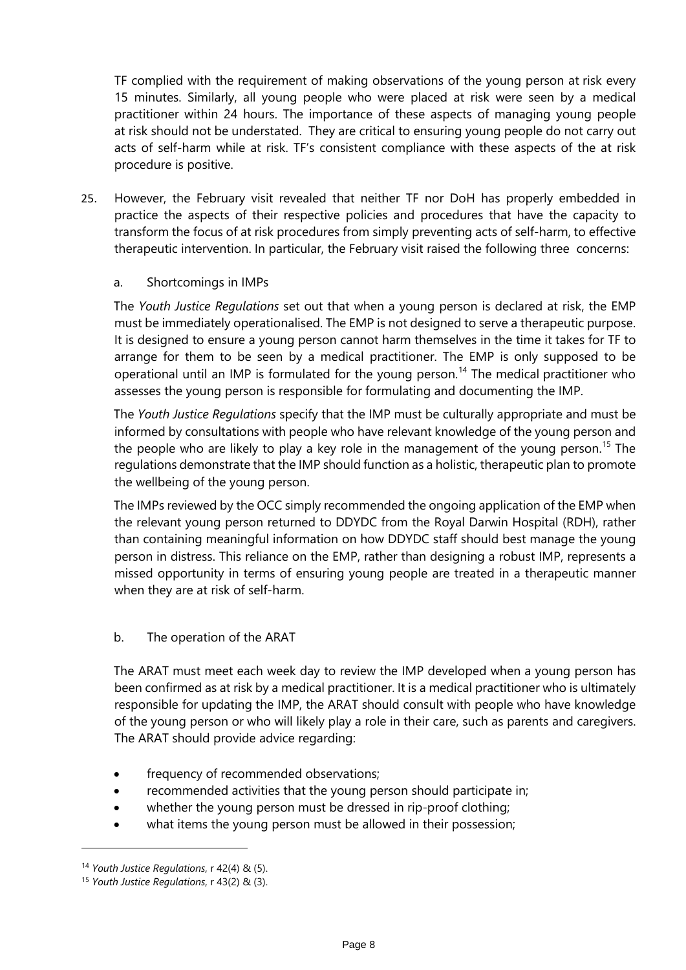TF complied with the requirement of making observations of the young person at risk every 15 minutes. Similarly, all young people who were placed at risk were seen by a medical practitioner within 24 hours. The importance of these aspects of managing young people at risk should not be understated. They are critical to ensuring young people do not carry out acts of self-harm while at risk. TF's consistent compliance with these aspects of the at risk procedure is positive.

25. However, the February visit revealed that neither TF nor DoH has properly embedded in practice the aspects of their respective policies and procedures that have the capacity to transform the focus of at risk procedures from simply preventing acts of self-harm, to effective therapeutic intervention. In particular, the February visit raised the following three concerns:

#### a. Shortcomings in IMPs

The *Youth Justice Regulations* set out that when a young person is declared at risk, the EMP must be immediately operationalised. The EMP is not designed to serve a therapeutic purpose. It is designed to ensure a young person cannot harm themselves in the time it takes for TF to arrange for them to be seen by a medical practitioner. The EMP is only supposed to be operational until an IMP is formulated for the young person.<sup>[14](#page-8-0)</sup> The medical practitioner who assesses the young person is responsible for formulating and documenting the IMP.

The *Youth Justice Regulations* specify that the IMP must be culturally appropriate and must be informed by consultations with people who have relevant knowledge of the young person and the people who are likely to play a key role in the management of the young person.<sup>[15](#page-8-1)</sup> The regulations demonstrate that the IMP should function as a holistic, therapeutic plan to promote the wellbeing of the young person.

The IMPs reviewed by the OCC simply recommended the ongoing application of the EMP when the relevant young person returned to DDYDC from the Royal Darwin Hospital (RDH), rather than containing meaningful information on how DDYDC staff should best manage the young person in distress. This reliance on the EMP, rather than designing a robust IMP, represents a missed opportunity in terms of ensuring young people are treated in a therapeutic manner when they are at risk of self-harm.

#### b. The operation of the ARAT

The ARAT must meet each week day to review the IMP developed when a young person has been confirmed as at risk by a medical practitioner. It is a medical practitioner who is ultimately responsible for updating the IMP, the ARAT should consult with people who have knowledge of the young person or who will likely play a role in their care, such as parents and caregivers. The ARAT should provide advice regarding:

- frequency of recommended observations;
- recommended activities that the young person should participate in;
- whether the young person must be dressed in rip-proof clothing;
- what items the young person must be allowed in their possession;

<span id="page-8-0"></span><sup>14</sup> *Youth Justice Regulations*, r 42(4) & (5).

<span id="page-8-1"></span><sup>15</sup> *Youth Justice Regulations*, r 43(2) & (3).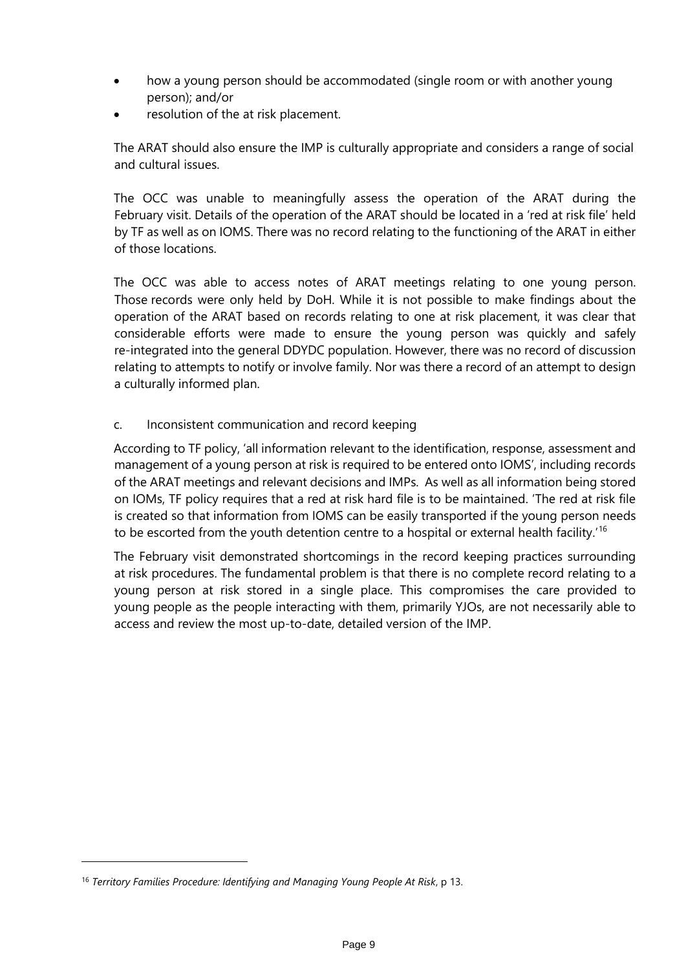- how a young person should be accommodated (single room or with another young person); and/or
- resolution of the at risk placement.

The ARAT should also ensure the IMP is culturally appropriate and considers a range of social and cultural issues.

The OCC was unable to meaningfully assess the operation of the ARAT during the February visit. Details of the operation of the ARAT should be located in a 'red at risk file' held by TF as well as on IOMS. There was no record relating to the functioning of the ARAT in either of those locations.

The OCC was able to access notes of ARAT meetings relating to one young person. Those records were only held by DoH. While it is not possible to make findings about the operation of the ARAT based on records relating to one at risk placement, it was clear that considerable efforts were made to ensure the young person was quickly and safely re-integrated into the general DDYDC population. However, there was no record of discussion relating to attempts to notify or involve family. Nor was there a record of an attempt to design a culturally informed plan.

#### c. Inconsistent communication and record keeping

According to TF policy, 'all information relevant to the identification, response, assessment and management of a young person at risk is required to be entered onto IOMS', including records of the ARAT meetings and relevant decisions and IMPs. As well as all information being stored on IOMs, TF policy requires that a red at risk hard file is to be maintained. 'The red at risk file is created so that information from IOMS can be easily transported if the young person needs to be escorted from the youth detention centre to a hospital or external health facility.<sup>[16](#page-9-0)</sup>

The February visit demonstrated shortcomings in the record keeping practices surrounding at risk procedures. The fundamental problem is that there is no complete record relating to a young person at risk stored in a single place. This compromises the care provided to young people as the people interacting with them, primarily YJOs, are not necessarily able to access and review the most up-to-date, detailed version of the IMP.

<span id="page-9-0"></span><sup>16</sup> *Territory Families Procedure: Identifying and Managing Young People At Risk*, p 13.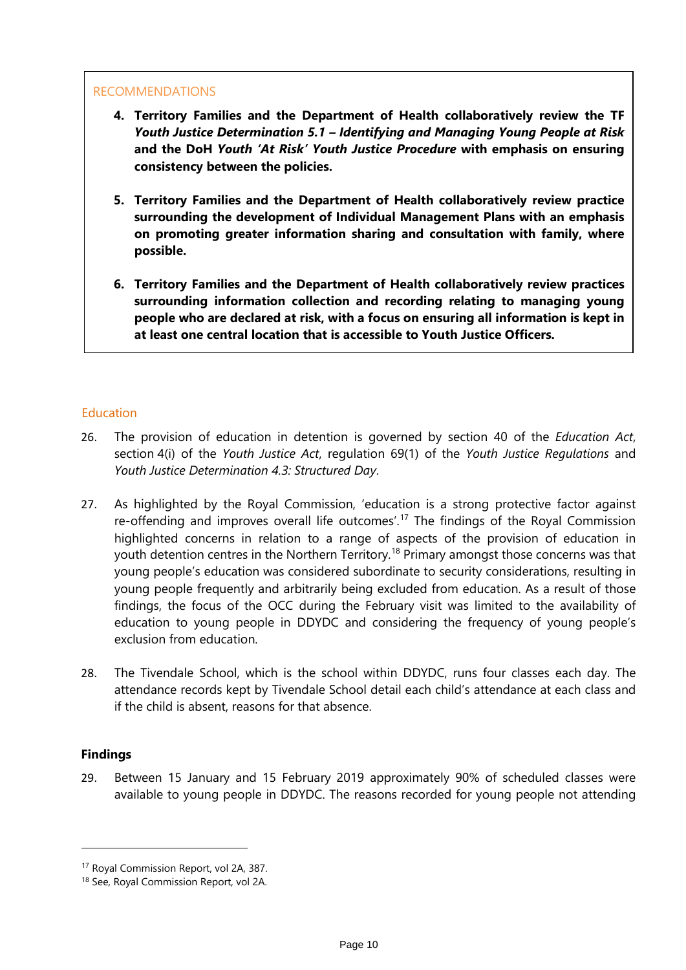- **4. Territory Families and the Department of Health collaboratively review the TF** *Youth Justice Determination 5.1 – Identifying and Managing Young People at Risk*  **and the DoH** *Youth 'At Risk' Youth Justice Procedure* **with emphasis on ensuring consistency between the policies.**
- **5. Territory Families and the Department of Health collaboratively review practice surrounding the development of Individual Management Plans with an emphasis on promoting greater information sharing and consultation with family, where possible.**
- **6. Territory Families and the Department of Health collaboratively review practices surrounding information collection and recording relating to managing young people who are declared at risk, with a focus on ensuring all information is kept in at least one central location that is accessible to Youth Justice Officers.**

#### <span id="page-10-0"></span>**Education**

- 26. The provision of education in detention is governed by section 40 of the *Education Act*, section 4(i) of the *Youth Justice Act*, regulation 69(1) of the *Youth Justice Regulations* and *Youth Justice Determination 4.3: Structured Day*.
- 27. As highlighted by the Royal Commission, 'education is a strong protective factor against re-offending and improves overall life outcomes'.<sup>[17](#page-10-1)</sup> The findings of the Royal Commission highlighted concerns in relation to a range of aspects of the provision of education in youth detention centres in the Northern Territory.<sup>[18](#page-10-2)</sup> Primary amongst those concerns was that young people's education was considered subordinate to security considerations, resulting in young people frequently and arbitrarily being excluded from education. As a result of those findings, the focus of the OCC during the February visit was limited to the availability of education to young people in DDYDC and considering the frequency of young people's exclusion from education.
- 28. The Tivendale School, which is the school within DDYDC, runs four classes each day. The attendance records kept by Tivendale School detail each child's attendance at each class and if the child is absent, reasons for that absence.

#### **Findings**

-

29. Between 15 January and 15 February 2019 approximately 90% of scheduled classes were available to young people in DDYDC. The reasons recorded for young people not attending

<span id="page-10-1"></span><sup>17</sup> Royal Commission Report, vol 2A, 387.

<span id="page-10-2"></span><sup>18</sup> See, Royal Commission Report, vol 2A.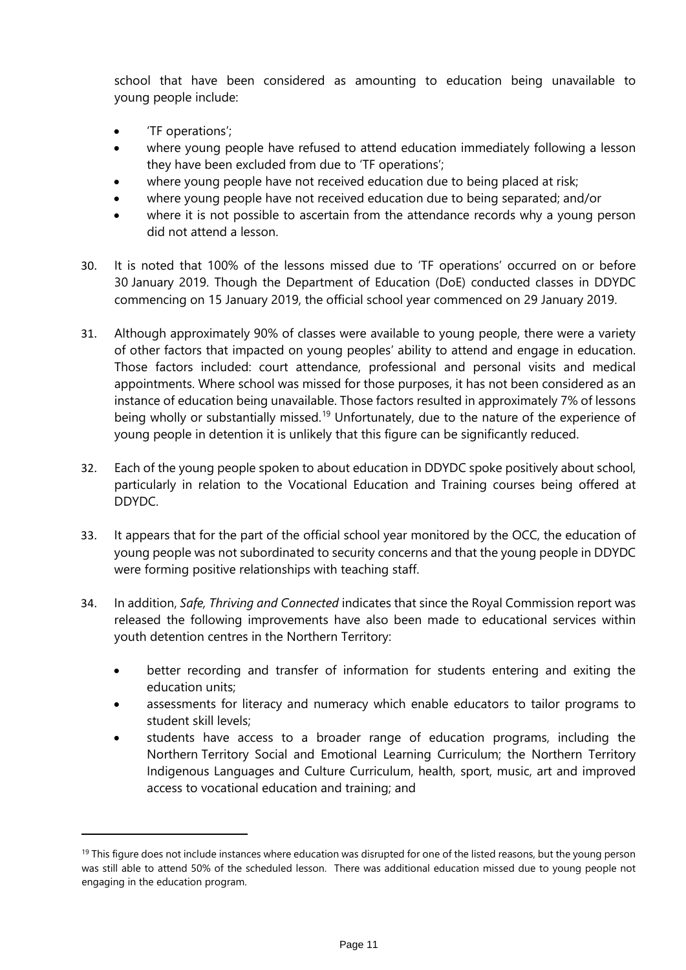school that have been considered as amounting to education being unavailable to young people include:

• 'TF operations';

- where young people have refused to attend education immediately following a lesson they have been excluded from due to 'TF operations';
- where young people have not received education due to being placed at risk;
- where young people have not received education due to being separated; and/or
- where it is not possible to ascertain from the attendance records why a young person did not attend a lesson.
- 30. It is noted that 100% of the lessons missed due to 'TF operations' occurred on or before 30 January 2019. Though the Department of Education (DoE) conducted classes in DDYDC commencing on 15 January 2019, the official school year commenced on 29 January 2019.
- 31. Although approximately 90% of classes were available to young people, there were a variety of other factors that impacted on young peoples' ability to attend and engage in education. Those factors included: court attendance, professional and personal visits and medical appointments. Where school was missed for those purposes, it has not been considered as an instance of education being unavailable. Those factors resulted in approximately 7% of lessons being wholly or substantially missed.<sup>[19](#page-11-0)</sup> Unfortunately, due to the nature of the experience of young people in detention it is unlikely that this figure can be significantly reduced.
- 32. Each of the young people spoken to about education in DDYDC spoke positively about school, particularly in relation to the Vocational Education and Training courses being offered at DDYDC.
- 33. It appears that for the part of the official school year monitored by the OCC, the education of young people was not subordinated to security concerns and that the young people in DDYDC were forming positive relationships with teaching staff.
- 34. In addition, *Safe, Thriving and Connected* indicates that since the Royal Commission report was released the following improvements have also been made to educational services within youth detention centres in the Northern Territory:
	- better recording and transfer of information for students entering and exiting the education units;
	- assessments for literacy and numeracy which enable educators to tailor programs to student skill levels;
	- students have access to a broader range of education programs, including the Northern Territory Social and Emotional Learning Curriculum; the Northern Territory Indigenous Languages and Culture Curriculum, health, sport, music, art and improved access to vocational education and training; and

<span id="page-11-0"></span> $19$  This figure does not include instances where education was disrupted for one of the listed reasons, but the young person was still able to attend 50% of the scheduled lesson. There was additional education missed due to young people not engaging in the education program.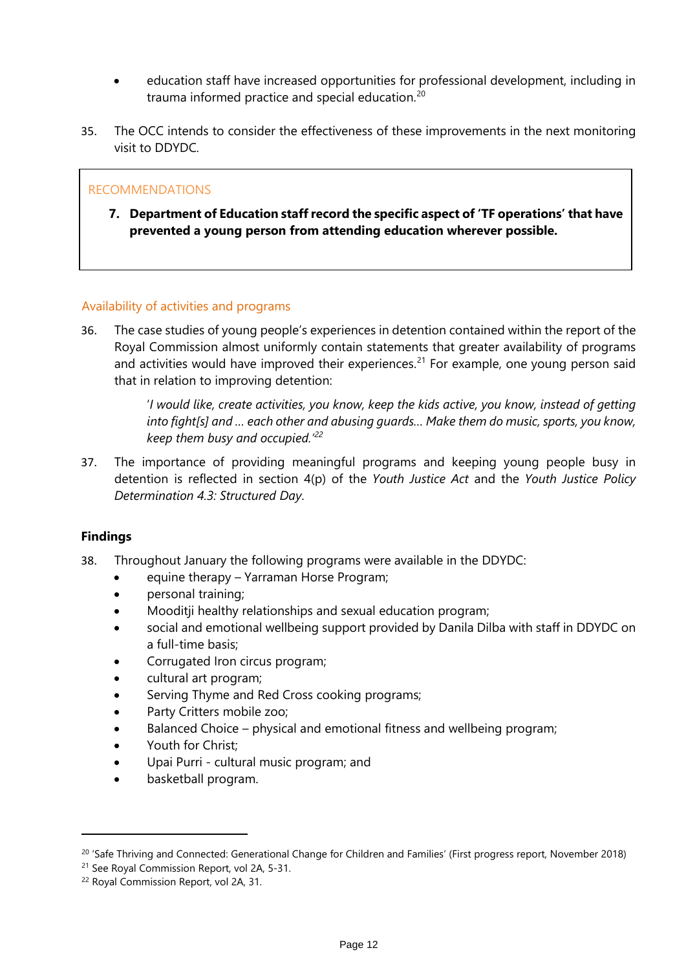- education staff have increased opportunities for professional development, including in trauma informed practice and special education.<sup>[20](#page-12-1)</sup>
- 35. The OCC intends to consider the effectiveness of these improvements in the next monitoring visit to DDYDC.

**7. Department of Education staff record the specific aspect of 'TF operations' that have prevented a young person from attending education wherever possible.** 

#### <span id="page-12-0"></span>Availability of activities and programs

36. The case studies of young people's experiences in detention contained within the report of the Royal Commission almost uniformly contain statements that greater availability of programs and activities would have improved their experiences.<sup>[21](#page-12-2)</sup> For example, one young person said that in relation to improving detention:

> '*I would like, create activities, you know, keep the kids active, you know, instead of getting into fight[s] and … each other and abusing guards… Make them do music, sports, you know, keep them busy and occupied.'[22](#page-12-3)*

37. The importance of providing meaningful programs and keeping young people busy in detention is reflected in section 4(p) of the *Youth Justice Act* and the *Youth Justice Policy Determination 4.3: Structured Day*.

#### **Findings**

- 38. Throughout January the following programs were available in the DDYDC:
	- equine therapy Yarraman Horse Program;
	- personal training;
	- Mooditji healthy relationships and sexual education program;
	- social and emotional wellbeing support provided by Danila Dilba with staff in DDYDC on a full-time basis;
	- Corrugated Iron circus program;
	- cultural art program;
	- Serving Thyme and Red Cross cooking programs;
	- Party Critters mobile zoo;
	- Balanced Choice physical and emotional fitness and wellbeing program;
	- Youth for Christ;
	- Upai Purri cultural music program; and
	- basketball program.

<span id="page-12-1"></span><sup>&</sup>lt;sup>20</sup> 'Safe Thriving and Connected: Generational Change for Children and Families' (First progress report, November 2018)

<span id="page-12-2"></span><sup>21</sup> See Royal Commission Report, vol 2A, 5-31.

<span id="page-12-3"></span><sup>22</sup> Royal Commission Report, vol 2A, 31.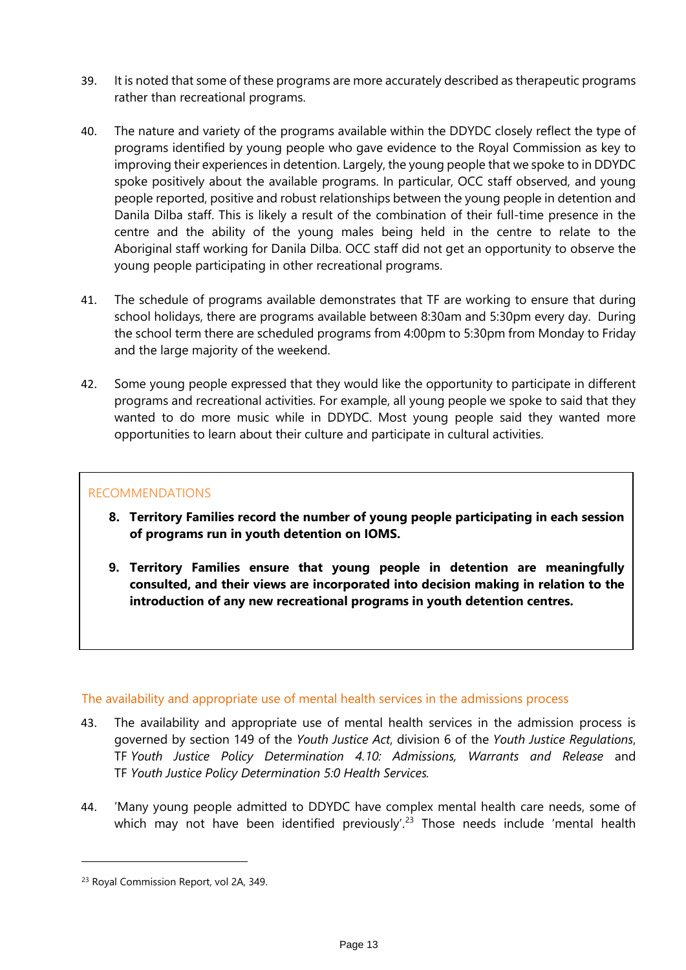- 39. It is noted that some of these programs are more accurately described as therapeutic programs rather than recreational programs.
- 40. The nature and variety of the programs available within the DDYDC closely reflect the type of programs identified by young people who gave evidence to the Royal Commission as key to improving their experiences in detention. Largely, the young people that we spoke to in DDYDC spoke positively about the available programs. In particular, OCC staff observed, and young people reported, positive and robust relationships between the young people in detention and Danila Dilba staff. This is likely a result of the combination of their full-time presence in the centre and the ability of the young males being held in the centre to relate to the Aboriginal staff working for Danila Dilba. OCC staff did not get an opportunity to observe the young people participating in other recreational programs.
- 41. The schedule of programs available demonstrates that TF are working to ensure that during school holidays, there are programs available between 8:30am and 5:30pm every day. During the school term there are scheduled programs from 4:00pm to 5:30pm from Monday to Friday and the large majority of the weekend.
- 42. Some young people expressed that they would like the opportunity to participate in different programs and recreational activities. For example, all young people we spoke to said that they wanted to do more music while in DDYDC. Most young people said they wanted more opportunities to learn about their culture and participate in cultural activities.

- **8. Territory Families record the number of young people participating in each session of programs run in youth detention on IOMS.**
- **9. Territory Families ensure that young people in detention are meaningfully consulted, and their views are incorporated into decision making in relation to the introduction of any new recreational programs in youth detention centres.**

#### <span id="page-13-0"></span>The availability and appropriate use of mental health services in the admissions process

- 43. The availability and appropriate use of mental health services in the admission process is governed by section 149 of the *Youth Justice Act*, division 6 of the *Youth Justice Regulations*, TF *Youth Justice Policy Determination 4.10: Admissions, Warrants and Release* and TF *Youth Justice Policy Determination 5:0 Health Services.*
- 44. 'Many young people admitted to DDYDC have complex mental health care needs, some of which may not have been identified previously'.<sup>[23](#page-13-1)</sup> Those needs include 'mental health

<span id="page-13-1"></span><sup>23</sup> Royal Commission Report, vol 2A, 349.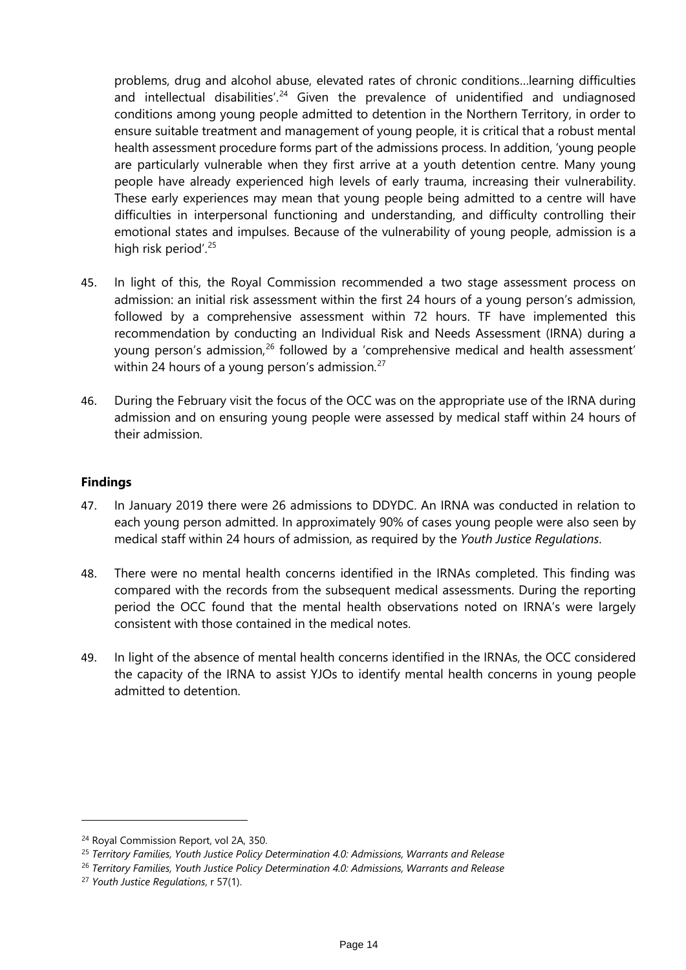problems, drug and alcohol abuse, elevated rates of chronic conditions…learning difficulties and intellectual disabilities<sup>'. [24](#page-14-0)</sup> Given the prevalence of unidentified and undiagnosed conditions among young people admitted to detention in the Northern Territory, in order to ensure suitable treatment and management of young people, it is critical that a robust mental health assessment procedure forms part of the admissions process. In addition, 'young people are particularly vulnerable when they first arrive at a youth detention centre. Many young people have already experienced high levels of early trauma, increasing their vulnerability. These early experiences may mean that young people being admitted to a centre will have difficulties in interpersonal functioning and understanding, and difficulty controlling their emotional states and impulses. Because of the vulnerability of young people, admission is a high risk period'.<sup>[25](#page-14-1)</sup>

- 45. In light of this, the Royal Commission recommended a two stage assessment process on admission: an initial risk assessment within the first 24 hours of a young person's admission, followed by a comprehensive assessment within 72 hours. TF have implemented this recommendation by conducting an Individual Risk and Needs Assessment (IRNA) during a young person's admission,<sup>[26](#page-14-2)</sup> followed by a 'comprehensive medical and health assessment' within 24 hours of a young person's admission. $27$
- 46. During the February visit the focus of the OCC was on the appropriate use of the IRNA during admission and on ensuring young people were assessed by medical staff within 24 hours of their admission.

#### **Findings**

- 47. In January 2019 there were 26 admissions to DDYDC. An IRNA was conducted in relation to each young person admitted. In approximately 90% of cases young people were also seen by medical staff within 24 hours of admission, as required by the *Youth Justice Regulations*.
- 48. There were no mental health concerns identified in the IRNAs completed. This finding was compared with the records from the subsequent medical assessments. During the reporting period the OCC found that the mental health observations noted on IRNA's were largely consistent with those contained in the medical notes.
- 49. In light of the absence of mental health concerns identified in the IRNAs, the OCC considered the capacity of the IRNA to assist YJOs to identify mental health concerns in young people admitted to detention.

<span id="page-14-1"></span><span id="page-14-0"></span><sup>&</sup>lt;sup>24</sup> Royal Commission Report, vol 2A, 350.<br><sup>25</sup> Territory Families, Youth Justice Policy Determination 4.0: Admissions, Warrants and Release

<span id="page-14-2"></span><sup>26</sup> *Territory Families, Youth Justice Policy Determination 4.0: Admissions, Warrants and Release*

<span id="page-14-3"></span><sup>27</sup> *Youth Justice Regulations*, r 57(1).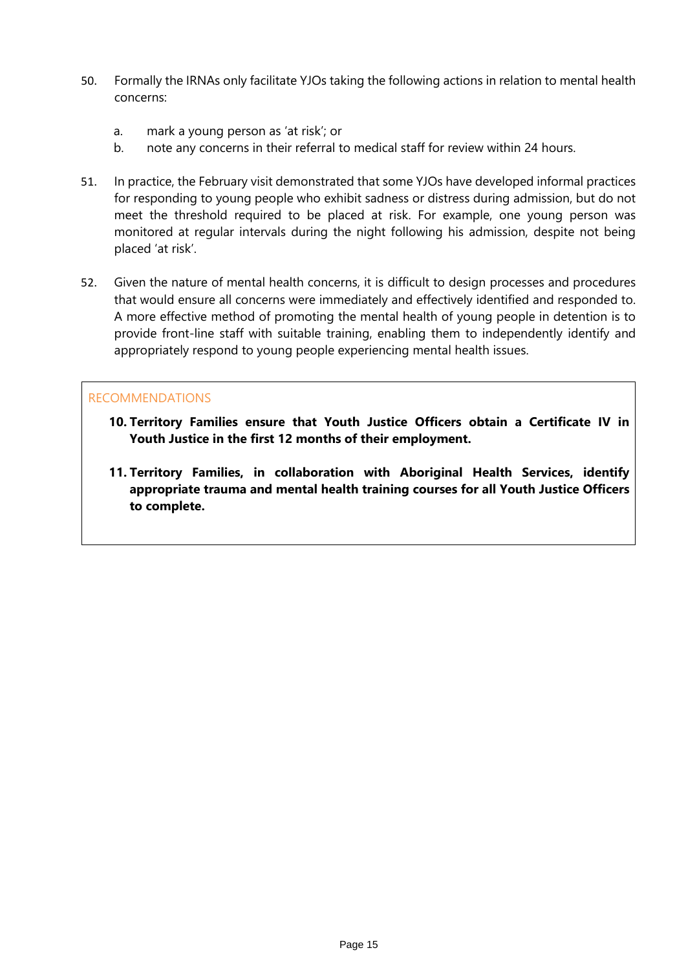- 50. Formally the IRNAs only facilitate YJOs taking the following actions in relation to mental health concerns:
	- a. mark a young person as 'at risk'; or
	- b. note any concerns in their referral to medical staff for review within 24 hours.
- 51. In practice, the February visit demonstrated that some YJOs have developed informal practices for responding to young people who exhibit sadness or distress during admission, but do not meet the threshold required to be placed at risk. For example, one young person was monitored at regular intervals during the night following his admission, despite not being placed 'at risk'.
- 52. Given the nature of mental health concerns, it is difficult to design processes and procedures that would ensure all concerns were immediately and effectively identified and responded to. A more effective method of promoting the mental health of young people in detention is to provide front-line staff with suitable training, enabling them to independently identify and appropriately respond to young people experiencing mental health issues.

- **10. Territory Families ensure that Youth Justice Officers obtain a Certificate IV in Youth Justice in the first 12 months of their employment.**
- **11. Territory Families, in collaboration with Aboriginal Health Services, identify appropriate trauma and mental health training courses for all Youth Justice Officers to complete.**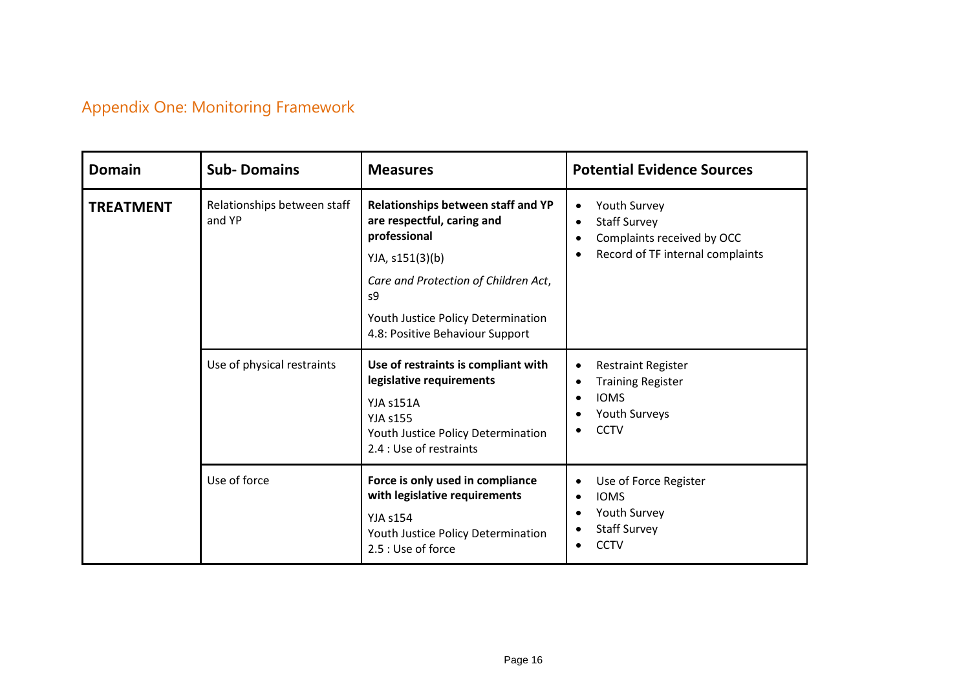# Appendix One: Monitoring Framework

<span id="page-16-0"></span>

| <b>Domain</b>    | <b>Sub-Domains</b>                    | <b>Measures</b>                                                                                                                                  | <b>Potential Evidence Sources</b>                                                                                                           |
|------------------|---------------------------------------|--------------------------------------------------------------------------------------------------------------------------------------------------|---------------------------------------------------------------------------------------------------------------------------------------------|
| <b>TREATMENT</b> | Relationships between staff<br>and YP | Relationships between staff and YP<br>are respectful, caring and<br>professional                                                                 | Youth Survey<br>٠<br><b>Staff Survey</b><br>$\bullet$<br>Complaints received by OCC<br>Record of TF internal complaints                     |
|                  |                                       | YJA, s151(3)(b)                                                                                                                                  |                                                                                                                                             |
|                  |                                       | Care and Protection of Children Act,<br>s9                                                                                                       |                                                                                                                                             |
|                  |                                       | Youth Justice Policy Determination<br>4.8: Positive Behaviour Support                                                                            |                                                                                                                                             |
|                  | Use of physical restraints            | Use of restraints is compliant with<br>legislative requirements                                                                                  | <b>Restraint Register</b><br>٠<br><b>Training Register</b>                                                                                  |
|                  |                                       | YJA s151A<br><b>YJA s155</b><br>Youth Justice Policy Determination<br>2.4 : Use of restraints                                                    | <b>IOMS</b><br>$\bullet$<br><b>Youth Surveys</b><br>$\bullet$<br><b>CCTV</b><br>$\bullet$                                                   |
|                  | Use of force                          | Force is only used in compliance<br>with legislative requirements<br><b>YJA s154</b><br>Youth Justice Policy Determination<br>2.5 : Use of force | Use of Force Register<br>$\bullet$<br><b>IOMS</b><br>$\bullet$<br>Youth Survey<br>$\bullet$<br><b>Staff Survey</b><br>٠<br><b>CCTV</b><br>٠ |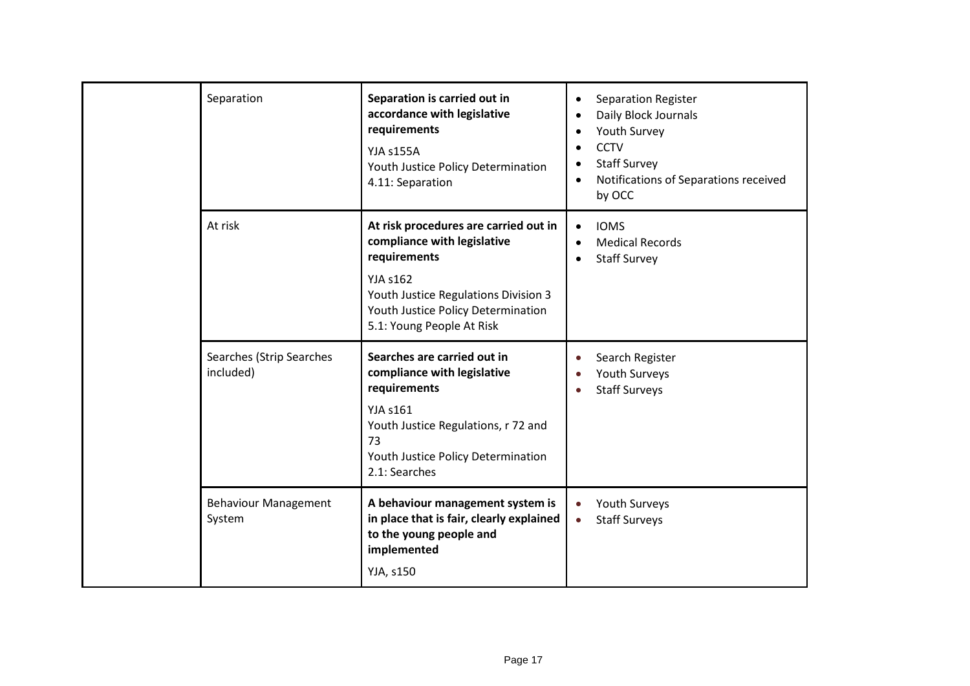|  | Separation                            | Separation is carried out in<br>accordance with legislative<br>requirements<br>YJA s155A<br>Youth Justice Policy Determination<br>4.11: Separation                                                                 | Separation Register<br>$\bullet$<br>Daily Block Journals<br>Youth Survey<br><b>CCTV</b><br>$\bullet$<br><b>Staff Survey</b><br>Notifications of Separations received<br>$\bullet$<br>by OCC |
|--|---------------------------------------|--------------------------------------------------------------------------------------------------------------------------------------------------------------------------------------------------------------------|---------------------------------------------------------------------------------------------------------------------------------------------------------------------------------------------|
|  | At risk                               | At risk procedures are carried out in<br>compliance with legislative<br>requirements<br><b>YJA s162</b><br>Youth Justice Regulations Division 3<br>Youth Justice Policy Determination<br>5.1: Young People At Risk | <b>IOMS</b><br>$\bullet$<br><b>Medical Records</b><br>$\bullet$<br><b>Staff Survey</b>                                                                                                      |
|  | Searches (Strip Searches<br>included) | Searches are carried out in<br>compliance with legislative<br>requirements<br><b>YJA s161</b><br>Youth Justice Regulations, r 72 and<br>73<br>Youth Justice Policy Determination<br>2.1: Searches                  | Search Register<br>Youth Surveys<br><b>Staff Surveys</b>                                                                                                                                    |
|  | <b>Behaviour Management</b><br>System | A behaviour management system is<br>in place that is fair, clearly explained<br>to the young people and<br>implemented<br>YJA, s150                                                                                | Youth Surveys<br><b>Staff Surveys</b><br>$\bullet$                                                                                                                                          |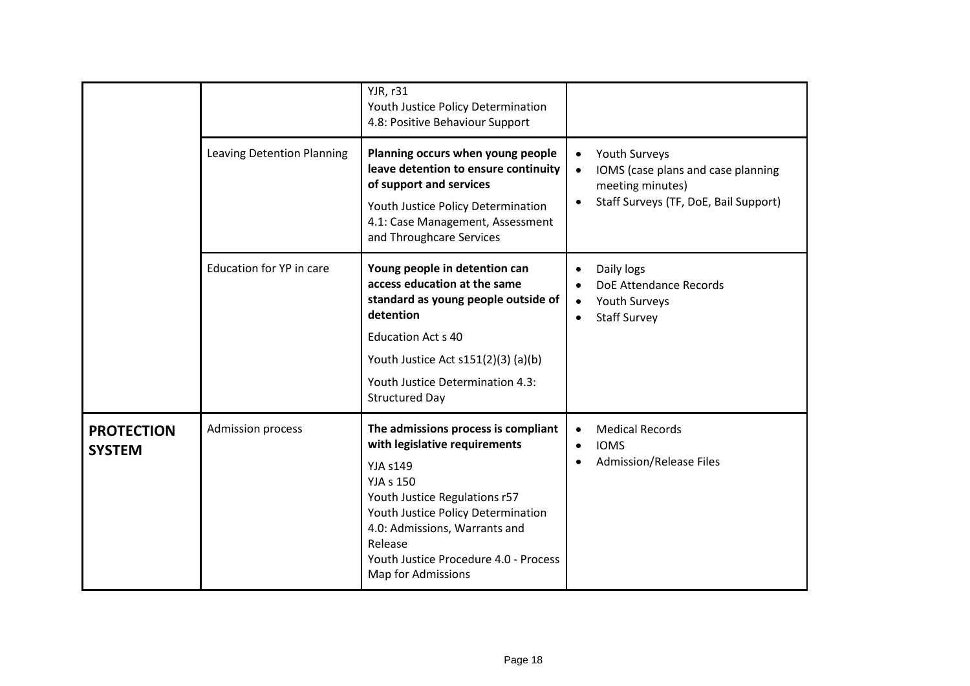|                                    | Leaving Detention Planning      | <b>YJR, r31</b><br>Youth Justice Policy Determination<br>4.8: Positive Behaviour Support<br>Planning occurs when young people<br>leave detention to ensure continuity                                                                                                                         | Youth Surveys<br>$\bullet$                                                                             |
|------------------------------------|---------------------------------|-----------------------------------------------------------------------------------------------------------------------------------------------------------------------------------------------------------------------------------------------------------------------------------------------|--------------------------------------------------------------------------------------------------------|
|                                    |                                 | of support and services<br>Youth Justice Policy Determination<br>4.1: Case Management, Assessment<br>and Throughcare Services                                                                                                                                                                 | IOMS (case plans and case planning<br>meeting minutes)<br>Staff Surveys (TF, DoE, Bail Support)        |
|                                    | <b>Education for YP in care</b> | Young people in detention can<br>access education at the same<br>standard as young people outside of<br>detention<br><b>Education Act s 40</b><br>Youth Justice Act s151(2)(3) (a)(b)<br>Youth Justice Determination 4.3:<br><b>Structured Day</b>                                            | Daily logs<br>$\bullet$<br>DoE Attendance Records<br>Youth Surveys<br>$\bullet$<br><b>Staff Survey</b> |
| <b>PROTECTION</b><br><b>SYSTEM</b> | Admission process               | The admissions process is compliant<br>with legislative requirements<br><b>YJA s149</b><br><b>YJA s 150</b><br>Youth Justice Regulations r57<br>Youth Justice Policy Determination<br>4.0: Admissions, Warrants and<br>Release<br>Youth Justice Procedure 4.0 - Process<br>Map for Admissions | <b>Medical Records</b><br>$\bullet$<br><b>IOMS</b><br>$\bullet$<br><b>Admission/Release Files</b>      |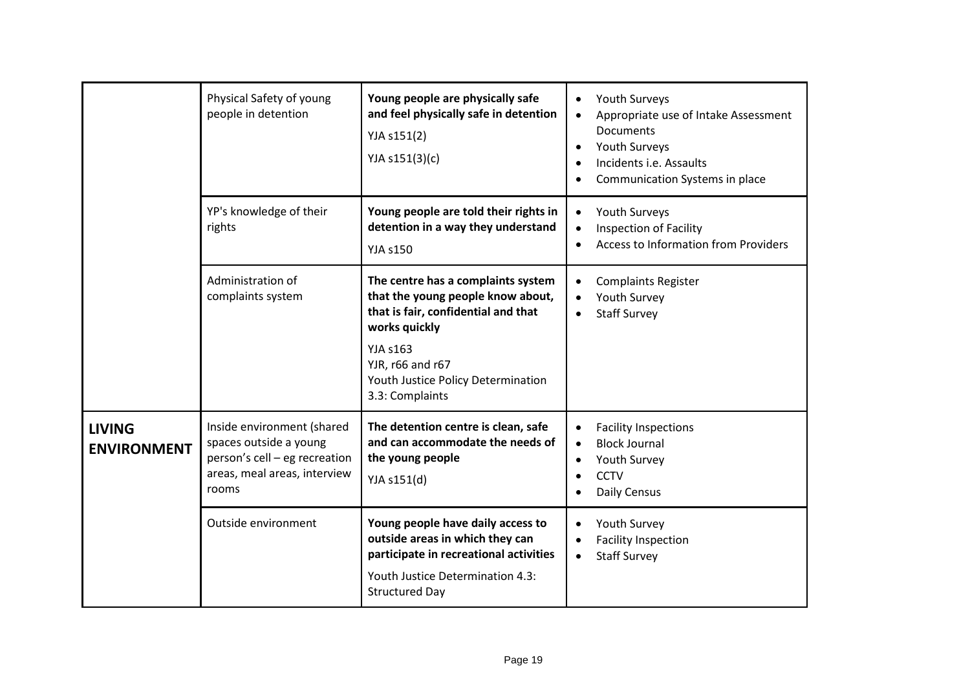|                                     | Physical Safety of young<br>people in detention                                                                                | Young people are physically safe<br>and feel physically safe in detention<br>YJA s151(2)<br>YJA s151(3)(c)                                                                                                                      | Youth Surveys<br>$\bullet$<br>Appropriate use of Intake Assessment<br><b>Documents</b><br>Youth Surveys<br>$\bullet$<br>Incidents i.e. Assaults<br>Communication Systems in place |
|-------------------------------------|--------------------------------------------------------------------------------------------------------------------------------|---------------------------------------------------------------------------------------------------------------------------------------------------------------------------------------------------------------------------------|-----------------------------------------------------------------------------------------------------------------------------------------------------------------------------------|
|                                     | YP's knowledge of their<br>rights                                                                                              | Young people are told their rights in<br>detention in a way they understand<br><b>YJA s150</b>                                                                                                                                  | Youth Surveys<br>$\bullet$<br><b>Inspection of Facility</b><br><b>Access to Information from Providers</b>                                                                        |
|                                     | Administration of<br>complaints system                                                                                         | The centre has a complaints system<br>that the young people know about,<br>that is fair, confidential and that<br>works quickly<br><b>YJA s163</b><br>YJR, r66 and r67<br>Youth Justice Policy Determination<br>3.3: Complaints | <b>Complaints Register</b><br>Youth Survey<br><b>Staff Survey</b>                                                                                                                 |
| <b>LIVING</b><br><b>ENVIRONMENT</b> | Inside environment (shared<br>spaces outside a young<br>person's cell - eg recreation<br>areas, meal areas, interview<br>rooms | The detention centre is clean, safe<br>and can accommodate the needs of<br>the young people<br>YJA s151(d)                                                                                                                      | <b>Facility Inspections</b><br><b>Block Journal</b><br>$\bullet$<br>Youth Survey<br><b>CCTV</b><br>$\bullet$<br>Daily Census                                                      |
|                                     | Outside environment                                                                                                            | Young people have daily access to<br>outside areas in which they can<br>participate in recreational activities<br>Youth Justice Determination 4.3:<br><b>Structured Day</b>                                                     | Youth Survey<br><b>Facility Inspection</b><br><b>Staff Survey</b><br>$\bullet$                                                                                                    |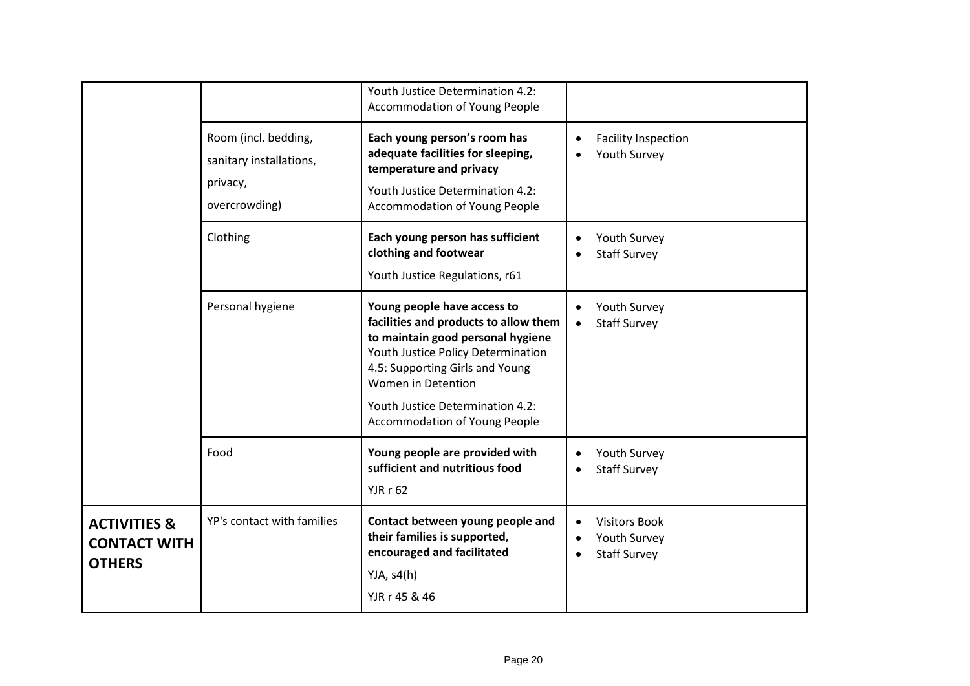|                                                                 |                                                                              | Youth Justice Determination 4.2:<br><b>Accommodation of Young People</b>                                                                                                                                                                                                             |                                                             |
|-----------------------------------------------------------------|------------------------------------------------------------------------------|--------------------------------------------------------------------------------------------------------------------------------------------------------------------------------------------------------------------------------------------------------------------------------------|-------------------------------------------------------------|
|                                                                 | Room (incl. bedding,<br>sanitary installations,<br>privacy,<br>overcrowding) | Each young person's room has<br>adequate facilities for sleeping,<br>temperature and privacy<br>Youth Justice Determination 4.2:<br><b>Accommodation of Young People</b>                                                                                                             | <b>Facility Inspection</b><br>Youth Survey                  |
|                                                                 | Clothing                                                                     | Each young person has sufficient<br>clothing and footwear<br>Youth Justice Regulations, r61                                                                                                                                                                                          | Youth Survey<br><b>Staff Survey</b>                         |
|                                                                 | Personal hygiene                                                             | Young people have access to<br>facilities and products to allow them<br>to maintain good personal hygiene<br>Youth Justice Policy Determination<br>4.5: Supporting Girls and Young<br>Women in Detention<br>Youth Justice Determination 4.2:<br><b>Accommodation of Young People</b> | Youth Survey<br><b>Staff Survey</b>                         |
|                                                                 | Food                                                                         | Young people are provided with<br>sufficient and nutritious food<br><b>YJR r 62</b>                                                                                                                                                                                                  | Youth Survey<br><b>Staff Survey</b>                         |
| <b>ACTIVITIES &amp;</b><br><b>CONTACT WITH</b><br><b>OTHERS</b> | YP's contact with families                                                   | Contact between young people and<br>their families is supported,<br>encouraged and facilitated<br>YJA, $s4(h)$<br>YJR r 45 & 46                                                                                                                                                      | <b>Visitors Book</b><br>Youth Survey<br><b>Staff Survey</b> |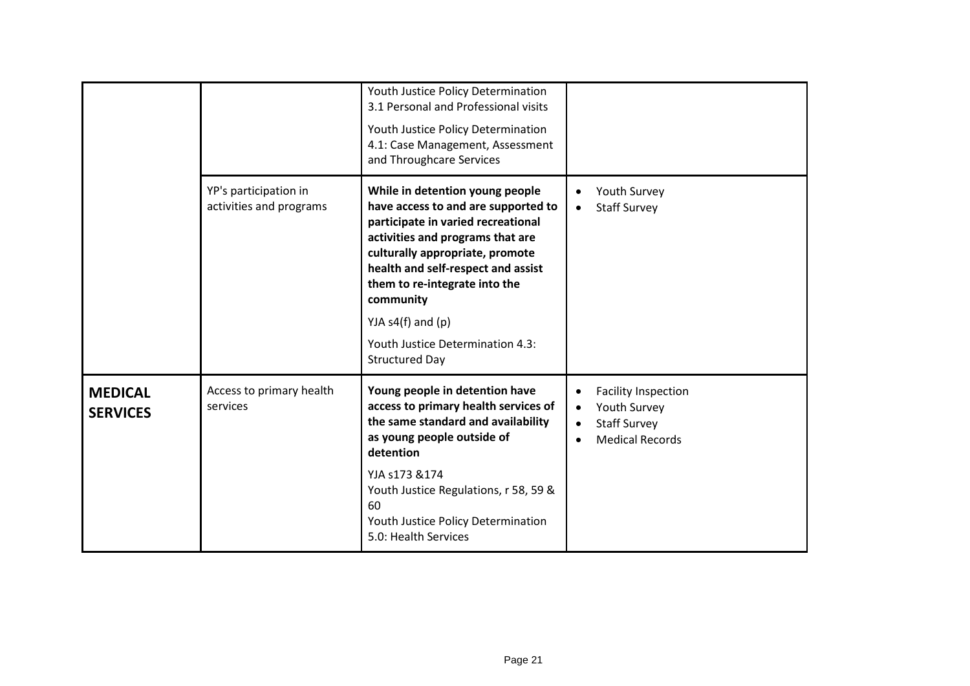|                                   |                                                  | Youth Justice Policy Determination<br>3.1 Personal and Professional visits<br>Youth Justice Policy Determination<br>4.1: Case Management, Assessment<br>and Throughcare Services                                                                                                                                                                              |                                                                                                          |
|-----------------------------------|--------------------------------------------------|---------------------------------------------------------------------------------------------------------------------------------------------------------------------------------------------------------------------------------------------------------------------------------------------------------------------------------------------------------------|----------------------------------------------------------------------------------------------------------|
|                                   | YP's participation in<br>activities and programs | While in detention young people<br>have access to and are supported to<br>participate in varied recreational<br>activities and programs that are<br>culturally appropriate, promote<br>health and self-respect and assist<br>them to re-integrate into the<br>community<br>YJA $s4(f)$ and $(p)$<br>Youth Justice Determination 4.3:<br><b>Structured Day</b> | Youth Survey<br><b>Staff Survey</b><br>$\bullet$                                                         |
| <b>MEDICAL</b><br><b>SERVICES</b> | Access to primary health<br>services             | Young people in detention have<br>access to primary health services of<br>the same standard and availability<br>as young people outside of<br>detention<br>YJA s173 &174<br>Youth Justice Regulations, r 58, 59 &<br>60<br>Youth Justice Policy Determination<br>5.0: Health Services                                                                         | <b>Facility Inspection</b><br>Youth Survey<br>$\bullet$<br><b>Staff Survey</b><br><b>Medical Records</b> |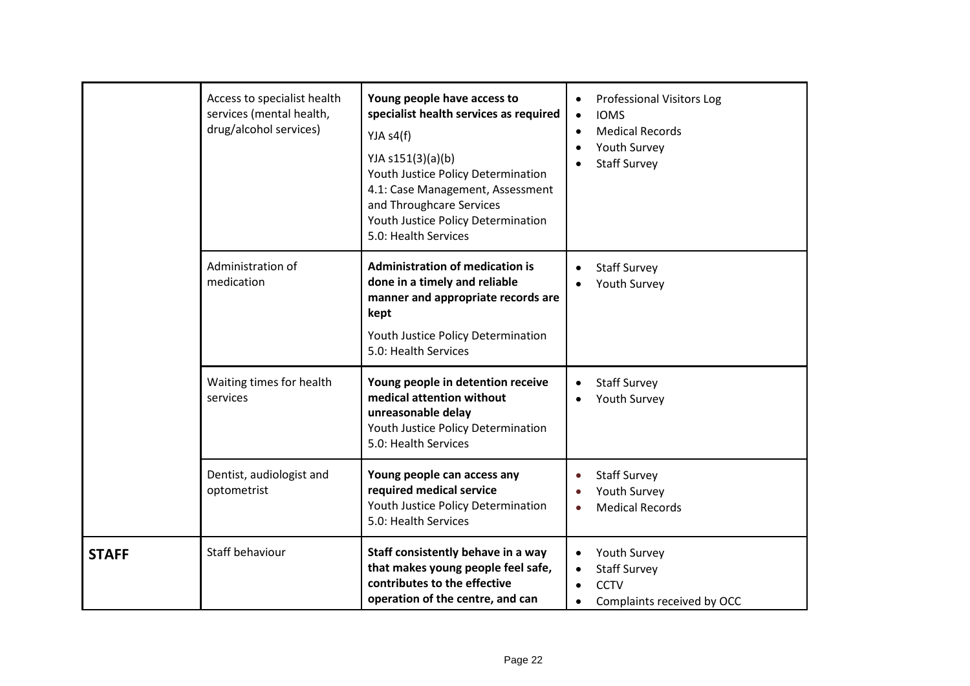|              | Access to specialist health<br>services (mental health,<br>drug/alcohol services) | Young people have access to<br>specialist health services as required<br>YJA $s4(f)$<br>YJA s151(3)(a)(b)<br>Youth Justice Policy Determination<br>4.1: Case Management, Assessment<br>and Throughcare Services<br>Youth Justice Policy Determination<br>5.0: Health Services | <b>Professional Visitors Log</b><br><b>IOMS</b><br>$\bullet$<br><b>Medical Records</b><br>Youth Survey<br><b>Staff Survey</b> |
|--------------|-----------------------------------------------------------------------------------|-------------------------------------------------------------------------------------------------------------------------------------------------------------------------------------------------------------------------------------------------------------------------------|-------------------------------------------------------------------------------------------------------------------------------|
|              | Administration of<br>medication                                                   | <b>Administration of medication is</b><br>done in a timely and reliable<br>manner and appropriate records are<br>kept<br>Youth Justice Policy Determination<br>5.0: Health Services                                                                                           | <b>Staff Survey</b><br>Youth Survey                                                                                           |
|              | Waiting times for health<br>services                                              | Young people in detention receive<br>medical attention without<br>unreasonable delay<br>Youth Justice Policy Determination<br>5.0: Health Services                                                                                                                            | <b>Staff Survey</b><br>Youth Survey                                                                                           |
|              | Dentist, audiologist and<br>optometrist                                           | Young people can access any<br>required medical service<br>Youth Justice Policy Determination<br>5.0: Health Services                                                                                                                                                         | <b>Staff Survey</b><br>$\bullet$<br>Youth Survey<br><b>Medical Records</b>                                                    |
| <b>STAFF</b> | Staff behaviour                                                                   | Staff consistently behave in a way<br>that makes young people feel safe,<br>contributes to the effective<br>operation of the centre, and can                                                                                                                                  | Youth Survey<br>$\bullet$<br><b>Staff Survey</b><br><b>CCTV</b><br>Complaints received by OCC                                 |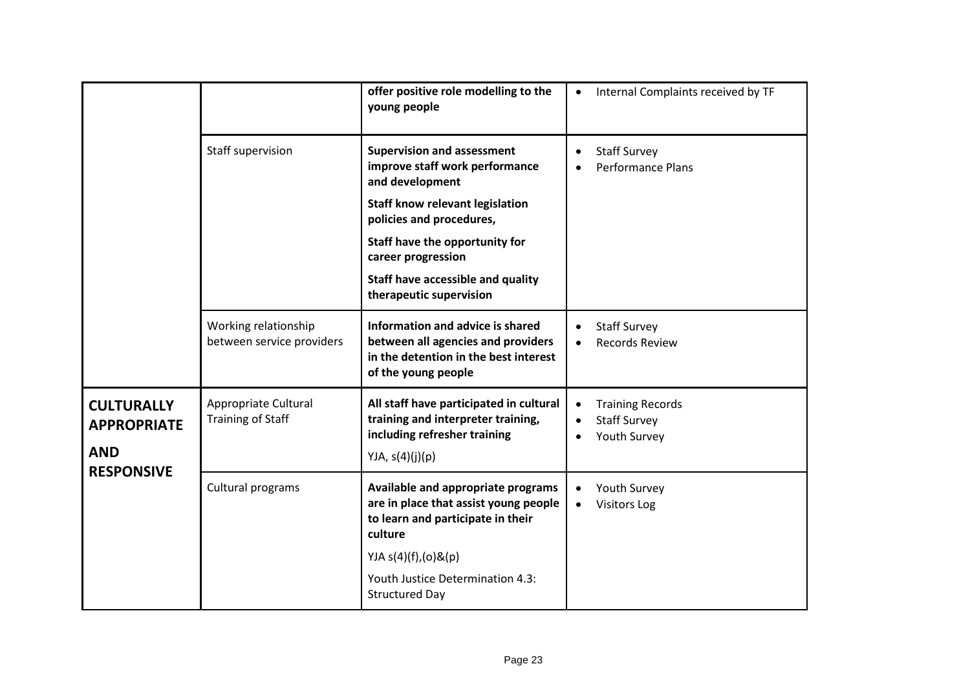|                                                                            |                                                   | offer positive role modelling to the<br>young people                                                                                   | Internal Complaints received by TF                             |
|----------------------------------------------------------------------------|---------------------------------------------------|----------------------------------------------------------------------------------------------------------------------------------------|----------------------------------------------------------------|
|                                                                            | Staff supervision                                 | <b>Supervision and assessment</b><br>improve staff work performance<br>and development                                                 | <b>Staff Survey</b><br><b>Performance Plans</b>                |
|                                                                            |                                                   | <b>Staff know relevant legislation</b><br>policies and procedures,                                                                     |                                                                |
|                                                                            |                                                   | Staff have the opportunity for<br>career progression                                                                                   |                                                                |
|                                                                            |                                                   | Staff have accessible and quality<br>therapeutic supervision                                                                           |                                                                |
|                                                                            | Working relationship<br>between service providers | Information and advice is shared<br>between all agencies and providers<br>in the detention in the best interest<br>of the young people | <b>Staff Survey</b><br><b>Records Review</b>                   |
| <b>CULTURALLY</b><br><b>APPROPRIATE</b><br><b>AND</b><br><b>RESPONSIVE</b> | Appropriate Cultural<br><b>Training of Staff</b>  | All staff have participated in cultural<br>training and interpreter training,<br>including refresher training<br>YJA, $s(4)(j)(p)$     | <b>Training Records</b><br><b>Staff Survey</b><br>Youth Survey |
|                                                                            | Cultural programs                                 | Available and appropriate programs<br>are in place that assist young people<br>to learn and participate in their<br>culture            | Youth Survey<br><b>Visitors Log</b>                            |
|                                                                            |                                                   | YJA s(4)(f),(0)&(p)<br>Youth Justice Determination 4.3:<br><b>Structured Day</b>                                                       |                                                                |